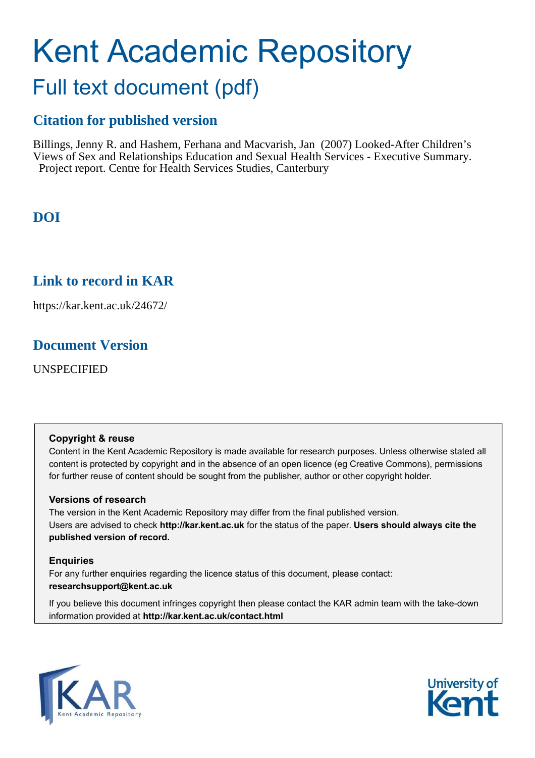# Kent Academic Repository

# Full text document (pdf)

### **Citation for published version**

Billings, Jenny R. and Hashem, Ferhana and Macvarish, Jan (2007) Looked-After Children's Views of Sex and Relationships Education and Sexual Health Services - Executive Summary. Project report. Centre for Health Services Studies, Canterbury

## **DOI**

### **Link to record in KAR**

https://kar.kent.ac.uk/24672/

### **Document Version**

UNSPECIFIED

### **Copyright & reuse**

Content in the Kent Academic Repository is made available for research purposes. Unless otherwise stated all content is protected by copyright and in the absence of an open licence (eg Creative Commons), permissions for further reuse of content should be sought from the publisher, author or other copyright holder.

### **Versions of research**

The version in the Kent Academic Repository may differ from the final published version. Users are advised to check **http://kar.kent.ac.uk** for the status of the paper. **Users should always cite the published version of record.**

### **Enquiries**

For any further enquiries regarding the licence status of this document, please contact: **researchsupport@kent.ac.uk**

If you believe this document infringes copyright then please contact the KAR admin team with the take-down information provided at **http://kar.kent.ac.uk/contact.html**



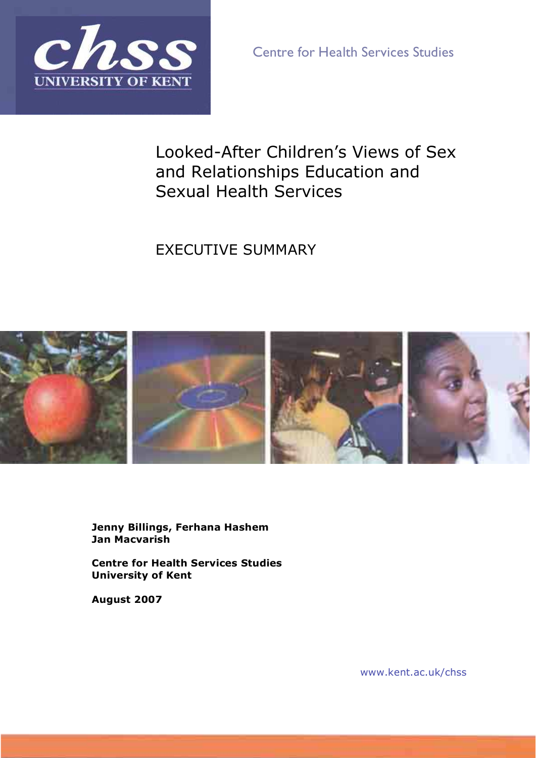

Centre for Health Services Studies

# Looked-After Children's Views of Sex and Relationships Education and Sexual Health Services

EXECUTIVE SUMMARY



**Jenny Billings, Ferhana Hashem Jan Macvarish** 

**Centre for Health Services Studies University of Kent** 

**August 2007** 

www.kent.ac.uk/chss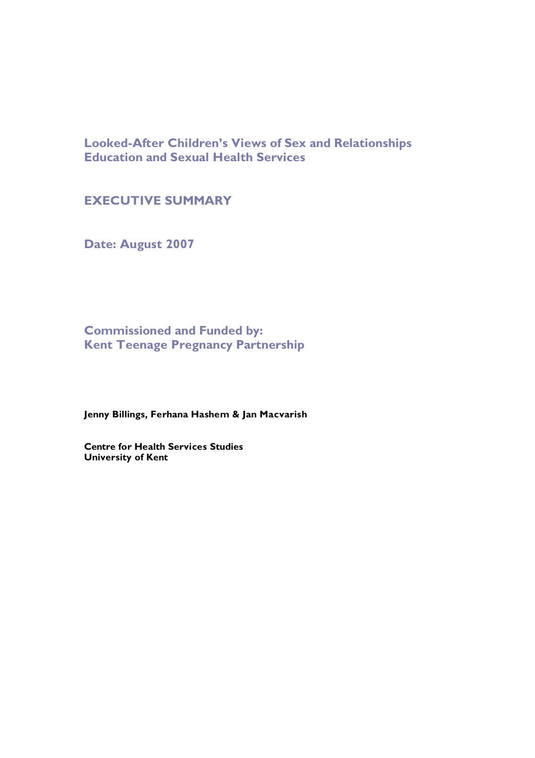**Looked-After Children's Views of Sex and Relationships Education and Sexual Health Services** 

### **EXECUTIVE SUMMARY**

**Date: August 2007**

**Commissioned and Funded by: Kent Teenage Pregnancy Partnership**

**Jenny Billings, Ferhana Hashem & Jan Macvarish**

**Centre for Health Services Studies University of Kent**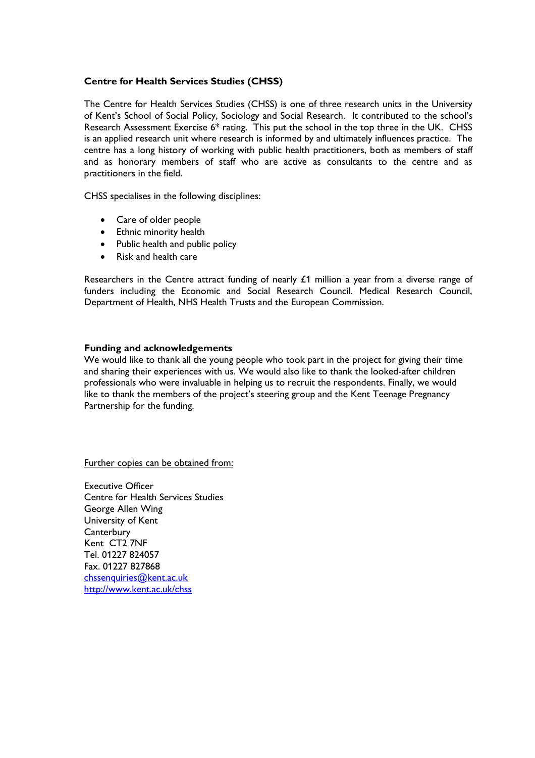#### **Centre for Health Services Studies (CHSS)**

The Centre for Health Services Studies (CHSS) is one of three research units in the University of Kent's School of Social Policy, Sociology and Social Research. It contributed to the school's Research Assessment Exercise 6\* rating. This put the school in the top three in the UK. CHSS is an applied research unit where research is informed by and ultimately influences practice. The centre has a long history of working with public health practitioners, both as members of staff and as honorary members of staff who are active as consultants to the centre and as practitioners in the field.

CHSS specialises in the following disciplines:

- Care of older people
- Ethnic minority health
- Public health and public policy
- Risk and health care

Researchers in the Centre attract funding of nearly  $£1$  million a year from a diverse range of funders including the Economic and Social Research Council. Medical Research Council, Department of Health, NHS Health Trusts and the European Commission.

#### **Funding and acknowledgements**

We would like to thank all the young people who took part in the project for giving their time and sharing their experiences with us. We would also like to thank the looked-after children professionals who were invaluable in helping us to recruit the respondents. Finally, we would like to thank the members of the project's steering group and the Kent Teenage Pregnancy Partnership for the funding.

Further copies can be obtained from:

Executive Officer Centre for Health Services Studies George Allen Wing University of Kent **Canterbury** Kent CT2 7NF Tel. 01227 824057 Fax. 01227 827868 chssenquiries@kent.ac.uk http://www.kent.ac.uk/chss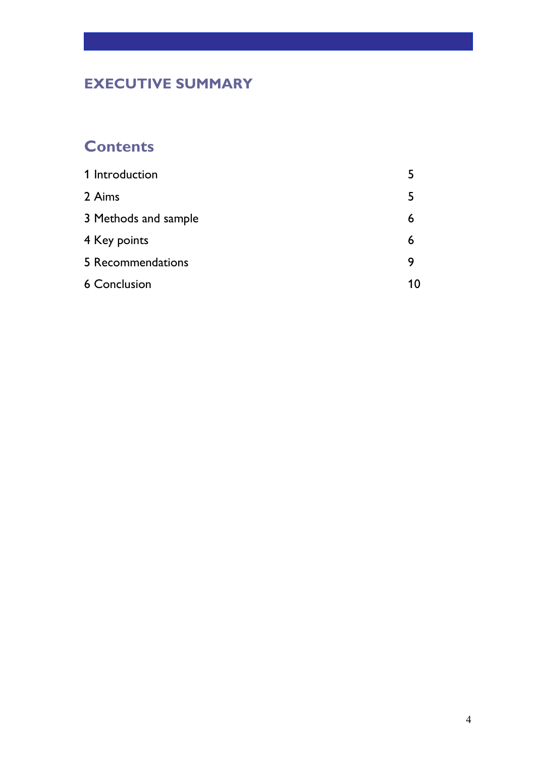# **EXECUTIVE SUMMARY**

# **Contents**

| 1 Introduction       |    |
|----------------------|----|
| 2 Aims               |    |
| 3 Methods and sample | 6  |
| 4 Key points         | 6  |
| 5 Recommendations    | 9  |
| <b>6 Conclusion</b>  | 10 |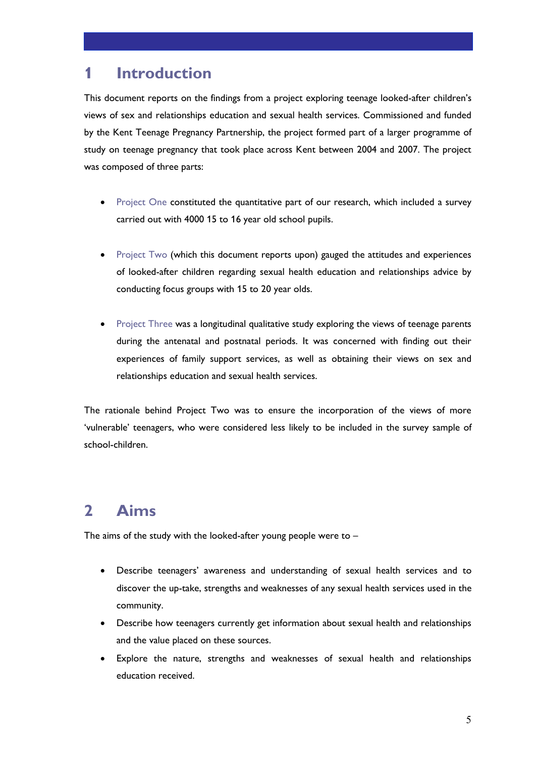# **Introduction**

This document reports on the findings from a project exploring teenage looked-after children's views of sex and relationships education and sexual health services. Commissioned and funded by the Kent Teenage Pregnancy Partnership, the project formed part of a larger programme of study on teenage pregnancy that took place across Kent between 2004 and 2007. The project was composed of three parts:

- Project One constituted the quantitative part of our research, which included a survey carried out with 4000 15 to 16 year old school pupils.
- Project Two (which this document reports upon) gauged the attitudes and experiences of looked-after children regarding sexual health education and relationships advice by conducting focus groups with 15 to 20 year olds.
- Project Three was a longitudinal qualitative study exploring the views of teenage parents during the antenatal and postnatal periods. It was concerned with finding out their experiences of family support services, as well as obtaining their views on sex and relationships education and sexual health services.

The rationale behind Project Two was to ensure the incorporation of the views of more 'vulnerable' teenagers, who were considered less likely to be included in the survey sample of school-children.

# **2 Aims**

The aims of the study with the looked-after young people were to  $-$ 

- Describe teenagers' awareness and understanding of sexual health services and to discover the up-take, strengths and weaknesses of any sexual health services used in the community.
- Describe how teenagers currently get information about sexual health and relationships and the value placed on these sources.
- Explore the nature, strengths and weaknesses of sexual health and relationships education received.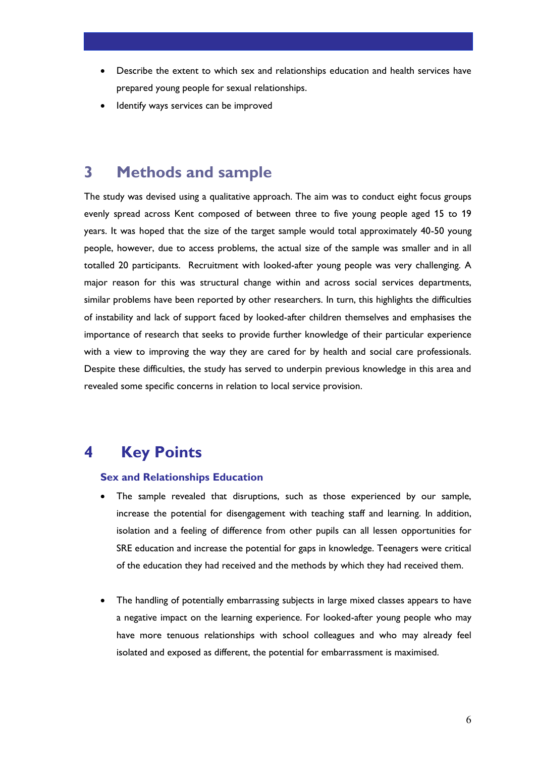- Describe the extent to which sex and relationships education and health services have prepared young people for sexual relationships.
- Identify ways services can be improved

### **3 Methods and sample**

The study was devised using a qualitative approach. The aim was to conduct eight focus groups evenly spread across Kent composed of between three to five young people aged 15 to 19 years. It was hoped that the size of the target sample would total approximately 40-50 young people, however, due to access problems, the actual size of the sample was smaller and in all totalled 20 participants. Recruitment with looked-after young people was very challenging. A major reason for this was structural change within and across social services departments, similar problems have been reported by other researchers. In turn, this highlights the difficulties of instability and lack of support faced by looked-after children themselves and emphasises the importance of research that seeks to provide further knowledge of their particular experience with a view to improving the way they are cared for by health and social care professionals. Despite these difficulties, the study has served to underpin previous knowledge in this area and revealed some specific concerns in relation to local service provision.

## **4 Key Points**

#### **Sex and Relationships Education**

- The sample revealed that disruptions, such as those experienced by our sample, increase the potential for disengagement with teaching staff and learning. In addition, isolation and a feeling of difference from other pupils can all lessen opportunities for SRE education and increase the potential for gaps in knowledge. Teenagers were critical of the education they had received and the methods by which they had received them.
- The handling of potentially embarrassing subjects in large mixed classes appears to have a negative impact on the learning experience. For looked-after young people who may have more tenuous relationships with school colleagues and who may already feel isolated and exposed as different, the potential for embarrassment is maximised.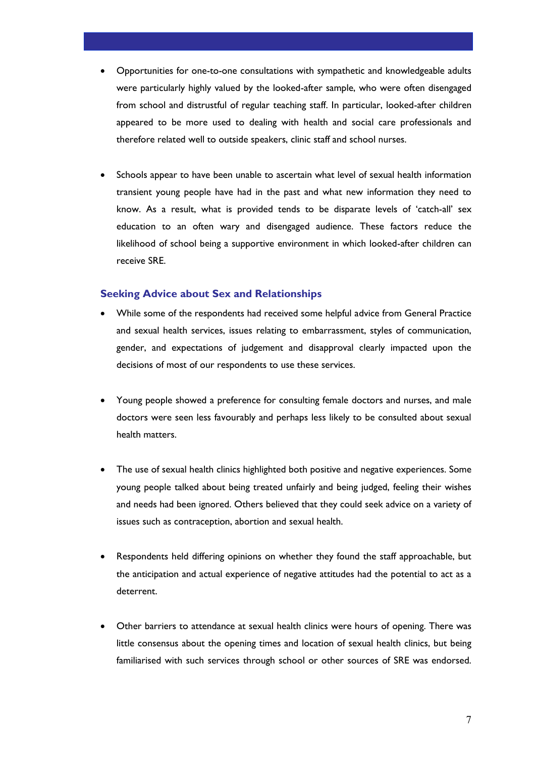- Opportunities for one-to-one consultations with sympathetic and knowledgeable adults were particularly highly valued by the looked-after sample, who were often disengaged from school and distrustful of regular teaching staff. In particular, looked-after children appeared to be more used to dealing with health and social care professionals and therefore related well to outside speakers, clinic staff and school nurses.
- Schools appear to have been unable to ascertain what level of sexual health information transient young people have had in the past and what new information they need to know. As a result, what is provided tends to be disparate levels of 'catch-all' sex education to an often wary and disengaged audience. These factors reduce the likelihood of school being a supportive environment in which looked-after children can receive SRE.

### **Seeking Advice about Sex and Relationships**

- While some of the respondents had received some helpful advice from General Practice and sexual health services, issues relating to embarrassment, styles of communication, gender, and expectations of judgement and disapproval clearly impacted upon the decisions of most of our respondents to use these services.
- Young people showed a preference for consulting female doctors and nurses, and male doctors were seen less favourably and perhaps less likely to be consulted about sexual health matters.
- The use of sexual health clinics highlighted both positive and negative experiences. Some young people talked about being treated unfairly and being judged, feeling their wishes and needs had been ignored. Others believed that they could seek advice on a variety of issues such as contraception, abortion and sexual health.
- Respondents held differing opinions on whether they found the staff approachable, but the anticipation and actual experience of negative attitudes had the potential to act as a deterrent.
- Other barriers to attendance at sexual health clinics were hours of opening. There was little consensus about the opening times and location of sexual health clinics, but being familiarised with such services through school or other sources of SRE was endorsed.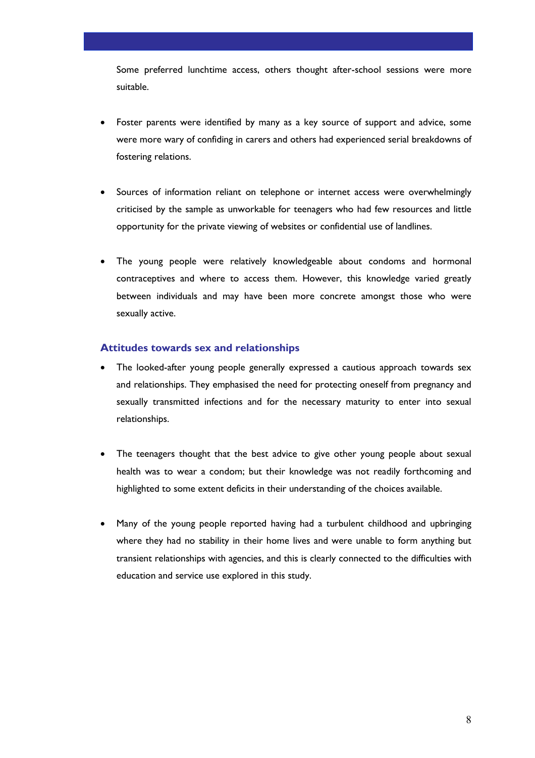Some preferred lunchtime access, others thought after-school sessions were more suitable.

- Foster parents were identified by many as a key source of support and advice, some were more wary of confiding in carers and others had experienced serial breakdowns of fostering relations.
- Sources of information reliant on telephone or internet access were overwhelmingly criticised by the sample as unworkable for teenagers who had few resources and little opportunity for the private viewing of websites or confidential use of landlines.
- The young people were relatively knowledgeable about condoms and hormonal contraceptives and where to access them. However, this knowledge varied greatly between individuals and may have been more concrete amongst those who were sexually active.

#### **Attitudes towards sex and relationships**

- The looked-after young people generally expressed a cautious approach towards sex and relationships. They emphasised the need for protecting oneself from pregnancy and sexually transmitted infections and for the necessary maturity to enter into sexual relationships.
- The teenagers thought that the best advice to give other young people about sexual health was to wear a condom; but their knowledge was not readily forthcoming and highlighted to some extent deficits in their understanding of the choices available.
- Many of the young people reported having had a turbulent childhood and upbringing where they had no stability in their home lives and were unable to form anything but transient relationships with agencies, and this is clearly connected to the difficulties with education and service use explored in this study.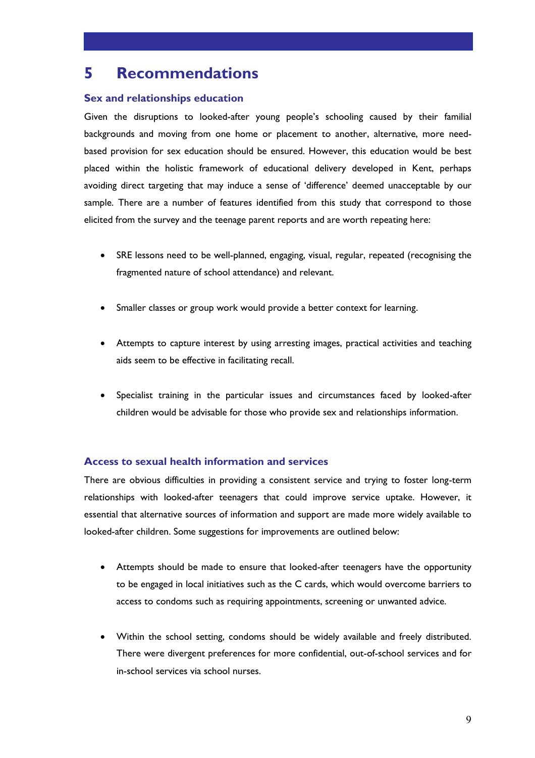# **5 Recommendations**

### **Sex and relationships education**

Given the disruptions to looked-after young people's schooling caused by their familial backgrounds and moving from one home or placement to another, alternative, more needbased provision for sex education should be ensured. However, this education would be best placed within the holistic framework of educational delivery developed in Kent, perhaps avoiding direct targeting that may induce a sense of 'difference' deemed unacceptable by our sample. There are a number of features identified from this study that correspond to those elicited from the survey and the teenage parent reports and are worth repeating here:

- SRE lessons need to be well-planned, engaging, visual, regular, repeated (recognising the fragmented nature of school attendance) and relevant.
- Smaller classes or group work would provide a better context for learning.
- Attempts to capture interest by using arresting images, practical activities and teaching aids seem to be effective in facilitating recall.
- Specialist training in the particular issues and circumstances faced by looked-after children would be advisable for those who provide sex and relationships information.

### **Access to sexual health information and services**

There are obvious difficulties in providing a consistent service and trying to foster long-term relationships with looked-after teenagers that could improve service uptake. However, it essential that alternative sources of information and support are made more widely available to looked-after children. Some suggestions for improvements are outlined below:

- Attempts should be made to ensure that looked-after teenagers have the opportunity to be engaged in local initiatives such as the C cards, which would overcome barriers to access to condoms such as requiring appointments, screening or unwanted advice.
- Within the school setting, condoms should be widely available and freely distributed. There were divergent preferences for more confidential, out-of-school services and for in-school services via school nurses.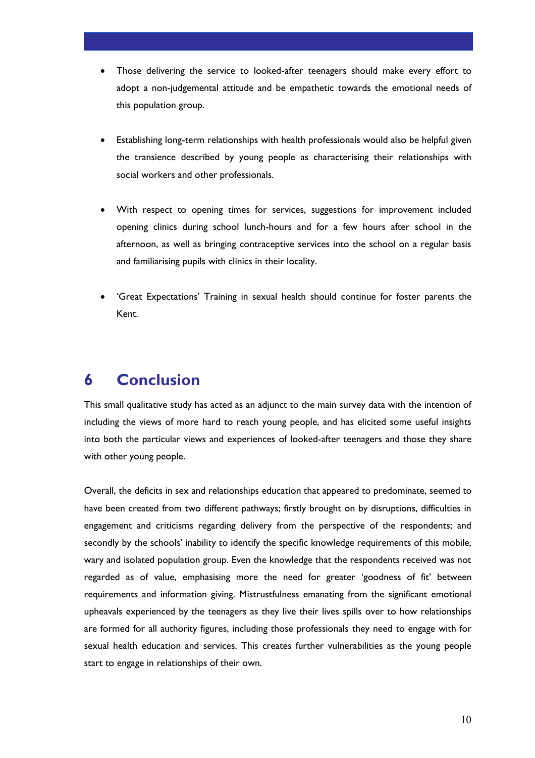- Those delivering the service to looked-after teenagers should make every effort to adopt a non-judgemental attitude and be empathetic towards the emotional needs of this population group.
- Establishing long-term relationships with health professionals would also be helpful given the transience described by young people as characterising their relationships with social workers and other professionals.
- With respect to opening times for services, suggestions for improvement included opening clinics during school lunch-hours and for a few hours after school in the afternoon, as well as bringing contraceptive services into the school on a regular basis and familiarising pupils with clinics in their locality.
- 'Great Expectations' Training in sexual health should continue for foster parents the Kent.

# **6 Conclusion**

This small qualitative study has acted as an adjunct to the main survey data with the intention of including the views of more hard to reach young people, and has elicited some useful insights into both the particular views and experiences of looked-after teenagers and those they share with other young people.

Overall, the deficits in sex and relationships education that appeared to predominate, seemed to have been created from two different pathways; firstly brought on by disruptions, difficulties in engagement and criticisms regarding delivery from the perspective of the respondents; and secondly by the schools' inability to identify the specific knowledge requirements of this mobile, wary and isolated population group. Even the knowledge that the respondents received was not regarded as of value, emphasising more the need for greater 'goodness of fit' between requirements and information giving. Mistrustfulness emanating from the significant emotional upheavals experienced by the teenagers as they live their lives spills over to how relationships are formed for all authority figures, including those professionals they need to engage with for sexual health education and services. This creates further vulnerabilities as the young people start to engage in relationships of their own.